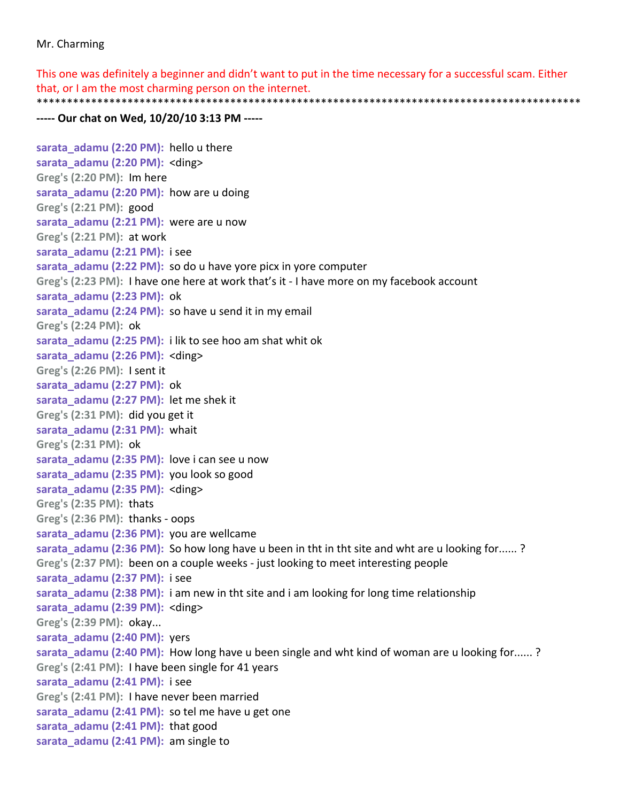## Mr. Charming

This one was definitely a beginner and didn't want to put in the time necessary for a successful scam. Either that, or I am the most charming person on the internet. \*\*\*\*\*\*\*\*\*\*\*\*\*\*\*\*\*\*\*\*\*\*\*\*\*\*\*\*\*\*\*\*\*\*\*\*\*\*\*\*\*\*\*\*\*\*\*\*\*\*\*\*\*\*\*\*\*\*\*\*\*\*\*\*\*\*\*\*\*\*\*\*\*\*\*\*\*\*\*\*\*\*\*\*\*\*\*\*\*\*

## **‐‐‐‐‐ Our chat on Wed, 10/20/10 3:13 PM ‐‐‐‐‐**

```
sarata_adamu (2:20 PM):  hello u there  
sarata_adamu (2:20 PM):  <ding>
Greg's (2:20 PM):  Im here
sarata_adamu (2:20 PM):  how are u doing  
Greg's (2:21 PM):  good
sarata adamu (2:21 PM): were are u now
Greg's (2:21 PM):  at work
sarata_adamu (2:21 PM):  i see
sarata_adamu (2:22 PM):  so do u have yore picx in yore computer  
Greg's (2:23 PM):  I have one here at work that's it ‐ I have more on my facebook account
sarata_adamu (2:23 PM):  ok  
sarata_adamu (2:24 PM):  so have u send it in my email  
Greg's (2:24 PM):  ok
sarata_adamu (2:25 PM):  i lik to see hoo am shat whit ok  
sarata_adamu (2:26 PM):  <ding>
Greg's (2:26 PM):  I sent it
sarata_adamu (2:27 PM):  ok  
sarata_adamu (2:27 PM):  let me shek it  
Greg's (2:31 PM):  did you get it
sarata_adamu (2:31 PM):  whait  
Greg's (2:31 PM):  ok
sarata adamu (2:35 PM): love i can see u now
sarata_adamu (2:35 PM):  you look so good  
sarata_adamu (2:35 PM):  <ding>
Greg's (2:35 PM):  thats
Greg's (2:36 PM):  thanks ‐ oops
sarata_adamu (2:36 PM):  you are wellcame  
sarata adamu (2:36 PM): So how long have u been in tht in tht site and wht are u looking for...... ?
Greg's (2:37 PM):  been on a couple weeks ‐ just looking to meet interesting people
sarata_adamu (2:37 PM):  i see  
sarata_adamu (2:38 PM):  i am new in tht site and i am looking for long time relationship
sarata_adamu (2:39 PM):  <ding>
Greg's (2:39 PM):  okay...
sarata_adamu (2:40 PM):  yers  
sarata adamu (2:40 PM): How long have u been single and wht kind of woman are u looking for...... ?
Greg's (2:41 PM):  I have been single for 41 years
sarata_adamu (2:41 PM):  i see  
Greg's (2:41 PM):  I have never been married
sarata_adamu (2:41 PM):  so tel me have u get one  
sarata_adamu (2:41 PM):  that good  
sarata_adamu (2:41 PM):  am single to
```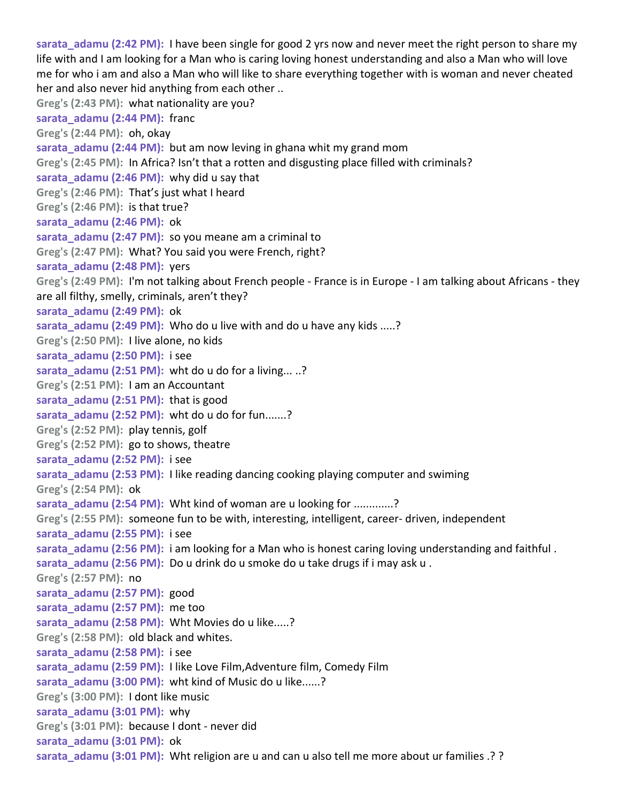**sarata\_adamu (2:42 PM):** I have been single for good 2 yrs now and never meet the right person to share my life with and I am looking for a Man who is caring loving honest understanding and also a Man who will love me for who i am and also a Man who will like to share everything together with is woman and never cheated her and also never hid anything from each other .. **Greg's (2:43 PM):** what nationality are you? **sarata\_adamu (2:44 PM):** franc **Greg's (2:44 PM):** oh, okay **sarata** adamu (2:44 PM): but am now leving in ghana whit my grand mom **Greg's (2:45 PM):** In Africa? Isn't that a rotten and disgusting place filled with criminals? **sarata\_adamu (2:46 PM):** why did u say that **Greg's (2:46 PM):** That's just what I heard **Greg's (2:46 PM):** is that true? **sarata\_adamu (2:46 PM):** ok **sarata\_adamu (2:47 PM):** so you meane am a criminal to **Greg's (2:47 PM):** What? You said you were French, right? **sarata\_adamu (2:48 PM):** yers **Greg's (2:49 PM):** I'm not talking about French people ‐ France is in Europe ‐ I am talking about Africans ‐ they are all filthy, smelly, criminals, aren't they? **sarata\_adamu (2:49 PM):** ok **sarata** adamu (2:49 PM): Who do u live with and do u have any kids .....? **Greg's (2:50 PM):** I live alone, no kids **sarata\_adamu (2:50 PM):** i see **sarata\_adamu (2:51 PM):** wht do u do for a living... ..? **Greg's (2:51 PM):** I am an Accountant **sarata\_adamu (2:51 PM):** that is good **sarata\_adamu (2:52 PM):** wht do u do for fun.......? **Greg's (2:52 PM):** play tennis, golf **Greg's (2:52 PM):** go to shows, theatre **sarata\_adamu (2:52 PM):** i see **sarata\_adamu (2:53 PM):** I like reading dancing cooking playing computer and swiming **Greg's (2:54 PM):** ok **sarata** adamu (2:54 PM): Wht kind of woman are u looking for .............? **Greg's (2:55 PM):** someone fun to be with, interesting, intelligent, career‐ driven, independent **sarata\_adamu (2:55 PM):** i see **sarata** adamu (2:56 PM): i am looking for a Man who is honest caring loving understanding and faithful . **sarata\_adamu (2:56 PM):** Do u drink do u smoke do u take drugs if i may ask u . **Greg's (2:57 PM):** no **sarata\_adamu (2:57 PM):** good **sarata\_adamu (2:57 PM):** me too **sarata\_adamu (2:58 PM):** Wht Movies do u like.....? **Greg's (2:58 PM):** old black and whites. **sarata\_adamu (2:58 PM):** i see **sarata\_adamu (2:59 PM):** I like Love Film,Adventure film, Comedy Film **sarata\_adamu (3:00 PM):** wht kind of Music do u like......? **Greg's (3:00 PM):** I dont like music **sarata\_adamu (3:01 PM):** why **Greg's (3:01 PM):** because I dont ‐ never did **sarata\_adamu (3:01 PM):** ok **sarata\_adamu (3:01 PM):** Wht religion are u and can u also tell me more about ur families .? ?